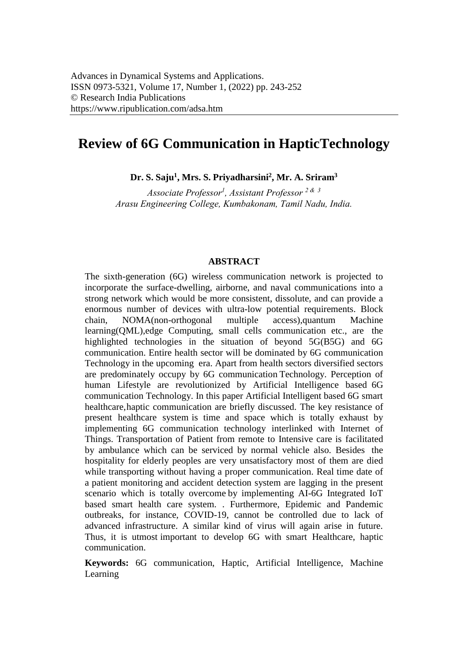# **Review of 6G Communication in Haptic Technology**

**Dr. S. Saju<sup>1</sup> , Mrs. S. Priyadharsini<sup>2</sup> , Mr. A. Sriram<sup>3</sup>**

*Associate Professor<sup>1</sup> , Assistant Professor <sup>2</sup> & <sup>3</sup> Arasu Engineering College, Kumbakonam, Tamil Nadu, India.* 

#### **ABSTRACT**

The sixth-generation (6G) wireless communication network is projected to incorporate the surface-dwelling, airborne, and naval communications into a strong network which would be more consistent, dissolute, and can provide a enormous number of devices with ultra-low potential requirements. Block chain, NOMA(non-orthogonal multiple access),quantum Machine learning(QML),edge Computing, small cells communication etc., are the highlighted technologies in the situation of beyond 5G(B5G) and 6G communication. Entire health sector will be dominated by 6G communication Technology in the upcoming era. Apart from health sectors diversified sectors are predominately occupy by 6G communication Technology. Perception of human Lifestyle are revolutionized by Artificial Intelligence based 6G communication Technology. In this paper Artificial Intelligent based 6G smart healthcare, haptic communication are briefly discussed. The key resistance of present healthcare system is time and space which is totally exhaust by implementing 6G communication technology interlinked with Internet of Things. Transportation of Patient from remote to Intensive care is facilitated by ambulance which can be serviced by normal vehicle also. Besides the hospitality for elderly peoples are very unsatisfactory most of them are died while transporting without having a proper communication. Real time date of a patient monitoring and accident detection system are lagging in the present scenario which is totally overcome by implementing AI-6G Integrated IoT based smart health care system. . Furthermore, Epidemic and Pandemic outbreaks, for instance, COVID-19, cannot be controlled due to lack of advanced infrastructure. A similar kind of virus will again arise in future. Thus, it is utmost important to develop 6G with smart Healthcare, haptic communication.

**Keywords:** 6G communication, Haptic, Artificial Intelligence, Machine Learning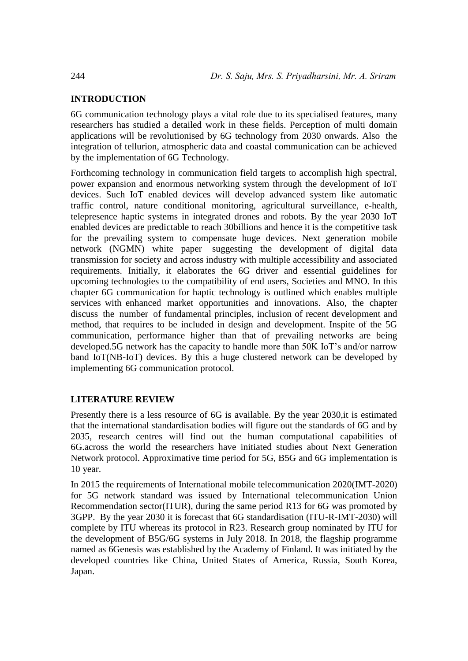# **INTRODUCTION**

6G communication technology plays a vital role due to its specialised features, many researchers has studied a detailed work in these fields. Perception of multi domain applications will be revolutionised by 6G technology from 2030 onwards. Also the integration of tellurion, atmospheric data and coastal communication can be achieved by the implementation of 6G Technology.

Forthcoming technology in communication field targets to accomplish high spectral, power expansion and enormous networking system through the development of IoT devices. Such IoT enabled devices will develop advanced system like automatic traffic control, nature conditional monitoring, agricultural surveillance, e-health, telepresence haptic systems in integrated drones and robots. By the year 2030 IoT enabled devices are predictable to reach 30billions and hence it is the competitive task for the prevailing system to compensate huge devices. Next generation mobile network (NGMN) white paper suggesting the development of digital data transmission for society and across industry with multiple accessibility and associated requirements. Initially, it elaborates the 6G driver and essential guidelines for upcoming technologies to the compatibility of end users, Societies and MNO. In this chapter 6G communication for haptic technology is outlined which enables multiple services with enhanced market opportunities and innovations. Also, the chapter discuss the number of fundamental principles, inclusion of recent development and method, that requires to be included in design and development. Inspite of the 5G communication, performance higher than that of prevailing networks are being developed.5G network has the capacity to handle more than 50K IoT's and/or narrow band IoT(NB-IoT) devices. By this a huge clustered network can be developed by implementing 6G communication protocol.

# **LITERATURE REVIEW**

Presently there is a less resource of 6G is available. By the year 2030, it is estimated that the international standardisation bodies will figure out the standards of 6G and by 2035, research centres will find out the human computational capabilities of 6G.across the world the researchers have initiated studies about Next Generation Network protocol. Approximative time period for 5G, B5G and 6G implementation is 10 year.

In 2015 the requirements of International mobile telecommunication 2020(IMT-2020) for 5G network standard was issued by International telecommunication Union Recommendation sector(ITUR), during the same period R13 for 6G was promoted by 3GPP. By the year 2030 it is forecast that 6G standardisation (ITU-R-IMT-2030) will complete by ITU whereas its protocol in R23. Research group nominated by ITU for the development of B5G/6G systems in July 2018. In 2018, the flagship programme named as 6Genesis was established by the Academy of Finland. It was initiated by the developed countries like China, United States of America, Russia, South Korea, Japan.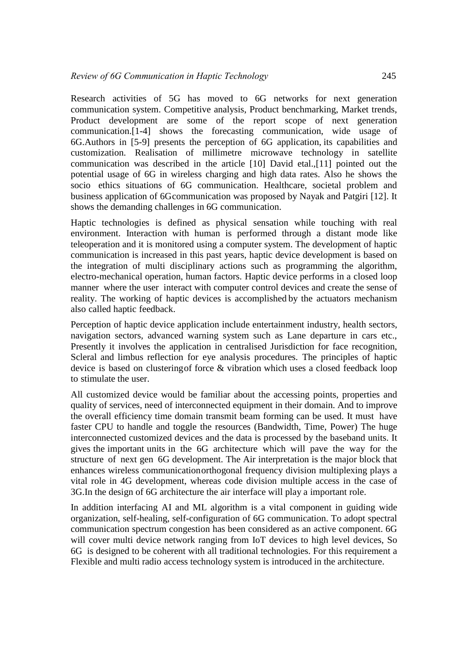Research activities of 5G has moved to 6G networks for next generation communication system. Competitive analysis, Product benchmarking, Market trends, Product development are some of the report scope of next generation communication.[1-4] shows the forecasting communication, wide usage of 6G.Authors in [5-9] presents the perception of 6G application, its capabilities and customization. Realisation of millimetre microwave technology in satellite communication was described in the article [10] David etal.,[11] pointed out the potential usage of 6G in wireless charging and high data rates. Also he shows the socio ethics situations of 6G communication. Healthcare, societal problem and business application of 6G communication was proposed by Nayak and Patgiri [12]. It shows the demanding challenges in 6G communication.

Haptic technologies is defined as physical sensation while touching with real environment. Interaction with human is performed through a distant mode like teleoperation and it is monitored using a computer system. The development of haptic communication is increased in this past years, haptic device development is based on the integration of multi disciplinary actions such as programming the algorithm, electro-mechanical operation, human factors. Haptic device performs in a closed loop manner where the user interact with computer control devices and create the sense of reality. The working of haptic devices is accomplished by the actuators mechanism also called haptic feedback.

Perception of haptic device application include entertainment industry, health sectors, navigation sectors, advanced warning system such as Lane departure in cars etc., Presently it involves the application in centralised Jurisdiction for face recognition, Scleral and limbus reflection for eye analysis procedures. The principles of haptic device is based on clustering of force & vibration which uses a closed feedback loop to stimulate the user.

All customized device would be familiar about the accessing points, properties and quality of services, need of interconnected equipment in their domain. And to improve the overall efficiency time domain transmit beam forming can be used. It must have faster CPU to handle and toggle the resources (Bandwidth, Time, Power) The huge interconnected customized devices and the data is processed by the baseband units. It gives the important units in the 6G architecture which will pave the way for the structure of next gen 6G development. The Air interpretation is the major block that enhances wireless communication orthogonal frequency division multiplexing plays a vital role in 4G development, whereas code division multiple access in the case of 3G.In the design of 6G architecture the air interface will play a important role.

In addition interfacing AI and ML algorithm is a vital component in guiding wide organization, self-healing, self-configuration of 6G communication. To adopt spectral communication spectrum congestion has been considered as an active component. 6G will cover multi device network ranging from IoT devices to high level devices, So 6G is designed to be coherent with all traditional technologies. For this requirement a Flexible and multi radio access technology system is introduced in the architecture.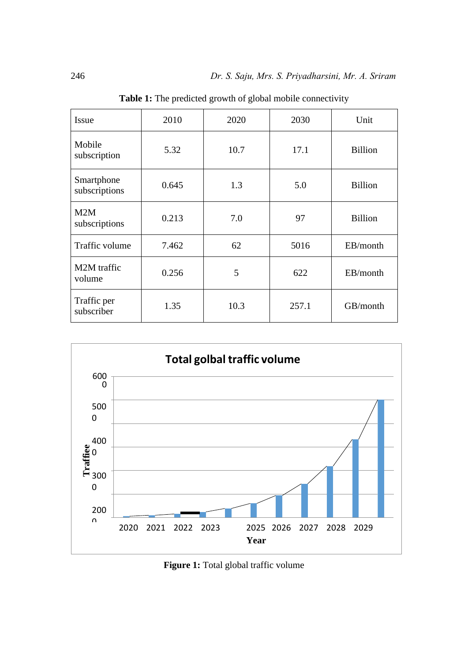| Issue                       | 2010  | 2020 | 2030  | Unit           |
|-----------------------------|-------|------|-------|----------------|
| Mobile<br>subscription      | 5.32  | 10.7 | 17.1  | <b>Billion</b> |
| Smartphone<br>subscriptions | 0.645 | 1.3  | 5.0   | <b>Billion</b> |
| M2M<br>subscriptions        | 0.213 | 7.0  | 97    | <b>Billion</b> |
| Traffic volume              | 7.462 | 62   | 5016  | EB/month       |
| M2M traffic<br>volume       | 0.256 | 5    | 622   | EB/month       |
| Traffic per<br>subscriber   | 1.35  | 10.3 | 257.1 | GB/month       |

Table 1: The predicted growth of global mobile connectivity



Figure 1: Total global traffic volume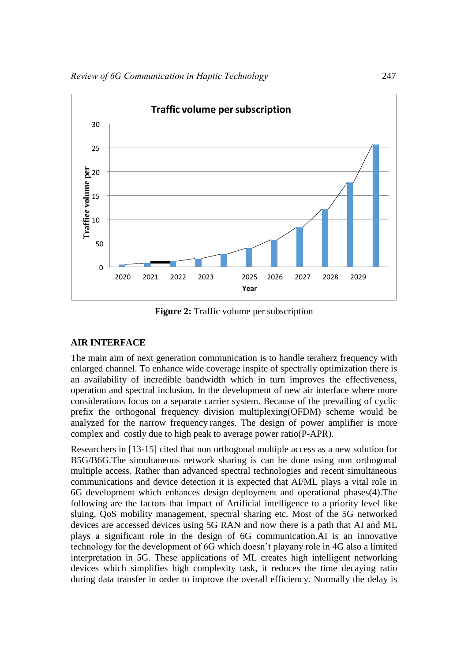

**Figure 2:** Traffic volume per subscription

# **AIR INTERFACE**

The main aim of next generation communication is to handle teraherz frequency with enlarged channel. To enhance wide coverage inspite of spectrally optimization there is an availability of incredible bandwidth which in turn improves the effectiveness, operation and spectral inclusion. In the development of new air interface where more considerations focus on a separate carrier system. Because of the prevailing of cyclic prefix the orthogonal frequency division multiplexing(OFDM) scheme would be analyzed for the narrow frequency ranges. The design of power amplifier is more complex and costly due to high peak to average power ratio(P-APR).

Researchers in [13-15] cited that non orthogonal multiple access as a new solution for B5G/B6G.The simultaneous network sharing is can be done using non orthogonal multiple access. Rather than advanced spectral technologies and recent simultaneous communications and device detection it is expected that AI/ML plays a vital role in 6G development which enhances design deployment and operational phases(4).The following are the factors that impact of Artificial intelligence to a priority level like sluing, QoS mobility management, spectral sharing etc. Most of the 5G networked devices are accessed devices using 5G RAN and now there is a path that AI and ML plays a significant role in the design of 6G communication.AI is an innovative technology for the development of 6G which doesn't playany role in 4G also a limited interpretation in 5G. These applications of ML creates high intelligent networking devices which simplifies high complexity task, it reduces the time decaying ratio during data transfer in order to improve the overall efficiency. Normally the delay is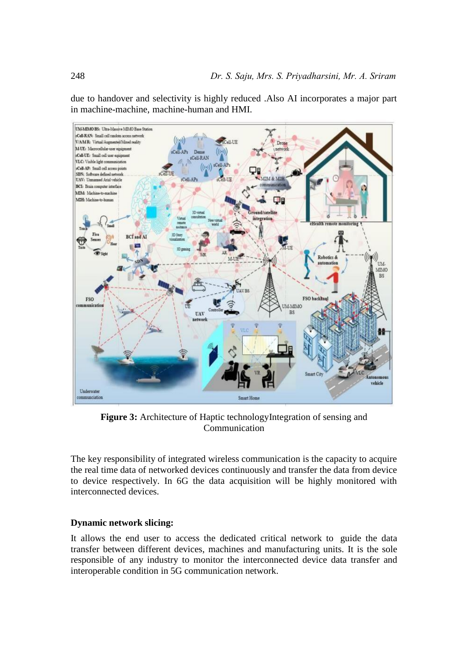due to handover and selectivity is highly reduced .Also AI incorporates a major part in machine-machine, machine-human and HMI.



Figure 3: Architecture of Haptic technologyIntegration of sensing and Communication

The key responsibility of integrated wireless communication is the capacity to acquire the real time data of networked devices continuously and transfer the data from device to device respectively. In 6G the data acquisition will be highly monitored with interconnected devices.

## **Dynamic network slicing:**

It allows the end user to access the dedicated critical network to guide the data transfer between different devices, machines and manufacturing units. It is the sole responsible of any industry to monitor the interconnected device data transfer and interoperable condition in 5G communication network.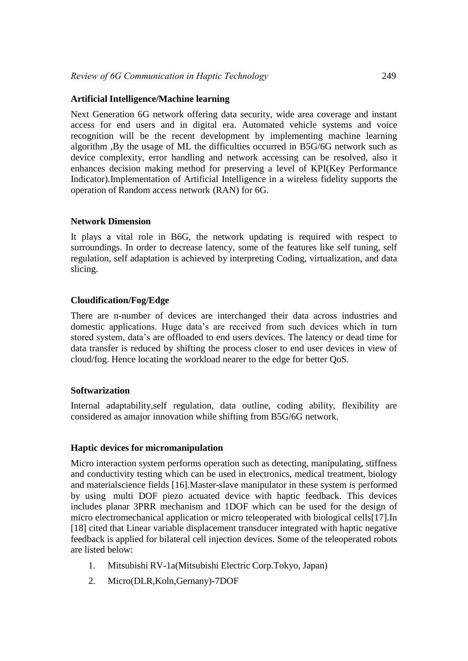### **Artificial Intelligence/Machine learning**

Next Generation 6G network offering data security, wide area coverage and instant access for end users and in digital era. Automated vehicle systems and voice recognition will be the recent development by implementing machine learning algorithm ,By the usage of ML the difficulties occurred in B5G/6G network such as device complexity, error handling and network accessing can be resolved, also it enhances decision making method for preserving a level of KPI(Key Performance Indicator).Implementation of Artificial Intelligence in a wireless fidelity supports the operation of Random access network (RAN) for 6G.

#### **Network Dimension**

It plays a vital role in B6G, the network updating is required with respect to surroundings. In order to decrease latency, some of the features like self tuning, self regulation, self adaptation is achieved by interpreting Coding, virtualization, and data slicing.

## **Cloudification/Fog/Edge**

There are n-number of devices are interchanged their data across industries and domestic applications. Huge data's are received from such devices which in turn stored system, data's are offloaded to end users devices. The latency or dead time for data transfer is reduced by shifting the process closer to end user devices in view of cloud/fog. Hence locating the workload nearer to the edge for better QoS.

#### **Softwarization**

Internal adaptability,self regulation, data outline, coding ability, flexibility are considered as a major innovation while shifting from B5G/6G network.

#### **Haptic devices for micromanipulation**

Micro interaction system performs operation such as detecting, manipulating, stiffness and conductivity testing which can be used in electronics, medical treatment, biology and material science fields [16].Master-slave manipulator in these system is performed by using multi DOF piezo actuated device with haptic feedback. This devices includes planar 3PRR mechanism and 1DOF which can be used for the design of micro electromechanical application or micro teleoperated with biological cells[17].In [18] cited that Linear variable displacement transducer integrated with haptic negative feedback is applied for bilateral cell injection devices. Some of the teleoperated robots are listed below:

- 1. Mitsubishi RV-1a(Mitsubishi Electric Corp.Tokyo, Japan)
- 2. Micro(DLR,Koln,Gernany)-7DOF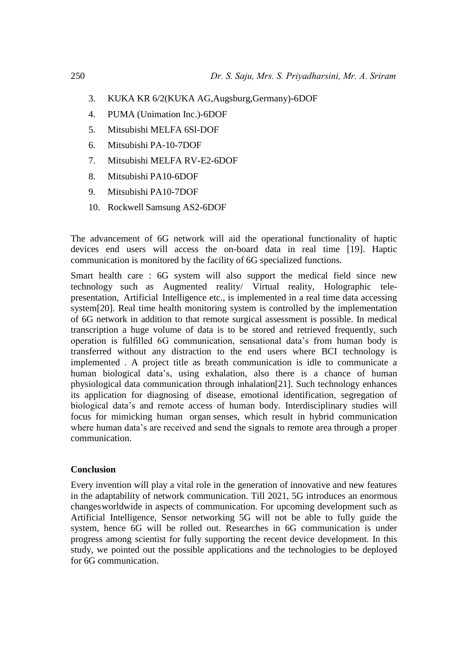- 3. KUKA KR 6/2(KUKA AG,Augsburg,Germany)-6DOF
- 4. PUMA (Unimation Inc.)-6DOF
- 5. Mitsubishi MELFA 6Sl-DOF
- 6. Mitsubishi PA-10-7DOF
- 7. Mitsubishi MELFA RV-E2-6DOF
- 8. Mitsubishi PA10-6DOF
- 9. Mitsubishi PA10-7DOF
- 10. Rockwell Samsung AS2-6DOF

The advancement of 6G network will aid the operational functionality of haptic devices end users will access the on-board data in real time [19]. Haptic communication is monitored by the facility of 6G specialized functions.

Smart health care : 6G system will also support the medical field since new technology such as Augmented reality/ Virtual reality, Holographic telepresentation, Artificial Intelligence etc., is implemented in a real time data accessing system[20]. Real time health monitoring system is controlled by the implementation of 6G network in addition to that remote surgical assessment is possible. In medical transcription a huge volume of data is to be stored and retrieved frequently, such operation is fulfilled 6G communication, sensational data's from human body is transferred without any distraction to the end users where BCI technology is implemented . A project title as breath communication is idle to communicate a human biological data's, using exhalation, also there is a chance of human physiological data communication through inhalation[21]. Such technology enhances its application for diagnosing of disease, emotional identification, segregation of biological data's and remote access of human body. Interdisciplinary studies will focus for mimicking human organ senses, which result in hybrid communication where human data's are received and send the signals to remote area through a proper communication.

#### **Conclusion**

Every invention will play a vital role in the generation of innovative and new features in the adaptability of network communication. Till 2021, 5G introduces an enormous changes worldwide in aspects of communication. For upcoming development such as Artificial Intelligence, Sensor networking 5G will not be able to fully guide the system, hence 6G will be rolled out. Researches in 6G communication is under progress among scientist for fully supporting the recent device development. In this study, we pointed out the possible applications and the technologies to be deployed for 6G communication.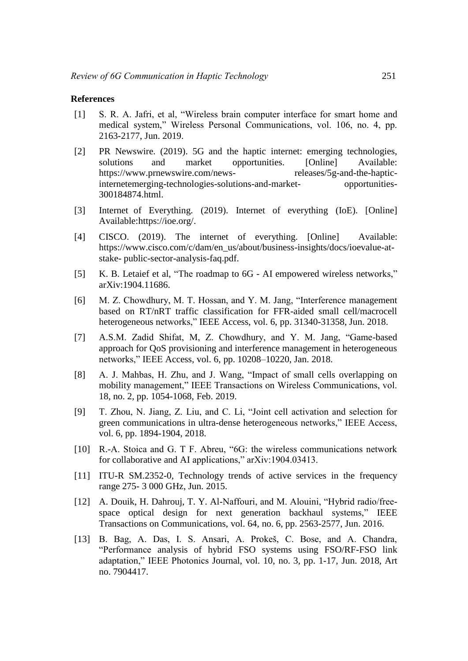#### **References**

- [1] S. R. A. Jafri, et al, "Wireless brain computer interface for smart home and medical system," Wireless Personal Communications, vol. 106, no. 4, pp. 2163-2177, Jun. 2019.
- [2] PR Newswire. (2019). 5G and the haptic internet: emerging technologies, solutions and market opportunities. [Online] Available: [https://www.prnewswire.com/news-](https://www.prnewswire.com/news-releases/5g-and-the-haptic-internetemerging-technologies-solutions-and-market-opportunities-300184874.html) [releases/5g-and-the-haptic](https://www.prnewswire.com/news-releases/5g-and-the-haptic-internetemerging-technologies-solutions-and-market-opportunities-300184874.html)[internetemerging-technologies-solutions-and-market-](https://www.prnewswire.com/news-releases/5g-and-the-haptic-internetemerging-technologies-solutions-and-market-opportunities-300184874.html) [opportunities-](https://www.prnewswire.com/news-releases/5g-and-the-haptic-internetemerging-technologies-solutions-and-market-opportunities-300184874.html)[300184874.html.](https://www.prnewswire.com/news-releases/5g-and-the-haptic-internetemerging-technologies-solutions-and-market-opportunities-300184874.html)
- [3] Internet of Everything. (2019). Internet of everything (IoE). [Online] Available[: https://ioe.org/.](https://ioe.org/)
- [4] CISCO. (2019). The internet of everything. [Online] Available: [https://www.cisco.com/c/dam/en\\_us/about/business-insights/docs/ioevalue-at](https://www.cisco.com/c/dam/en_us/about/business-insights/docs/ioevalue-at-stake-public-sector-analysis-faq.pdf)[stake-](https://www.cisco.com/c/dam/en_us/about/business-insights/docs/ioevalue-at-stake-public-sector-analysis-faq.pdf) [public-sector-analysis-faq.pdf.](https://www.cisco.com/c/dam/en_us/about/business-insights/docs/ioevalue-at-stake-public-sector-analysis-faq.pdf)
- [5] K. B. Letaief et al, "The roadmap to 6G AI empowered wireless networks," arXiv:1904.11686.
- [6] M. Z. Chowdhury, M. T. Hossan, and Y. M. Jang, "Interference management based on RT/nRT traffic classification for FFR-aided small cell/macrocell heterogeneous networks," IEEE Access, vol. 6, pp. 31340-31358, Jun. 2018.
- [7] A.S.M. Zadid Shifat, M, Z. Chowdhury, and Y. M. Jang, "Game-based approach for QoS provisioning and interference management in heterogeneous networks," IEEE Access, vol. 6, pp. 10208–10220, Jan. 2018.
- [8] A. J. Mahbas, H. Zhu, and J. Wang, "Impact of small cells overlapping on mobility management," IEEE Transactions on Wireless Communications, vol. 18, no. 2, pp. 1054-1068, Feb. 2019.
- [9] T. Zhou, N. Jiang, Z. Liu, and C. Li, "Joint cell activation and selection for green communications in ultra-dense heterogeneous networks," IEEE Access, vol. 6, pp. 1894-1904, 2018.
- [10] R.-A. Stoica and G. T F. Abreu, "6G: the wireless communications network for collaborative and AI applications," arXiv:1904.03413.
- [11] ITU-R SM.2352-0, Technology trends of active services in the frequency range 275- 3 000 GHz, Jun. 2015.
- [12] A. Douik, H. Dahrouj, T. Y. Al-Naffouri, and M. Alouini, "Hybrid radio/freespace optical design for next generation backhaul systems," IEEE Transactions on Communications, vol. 64, no. 6, pp. 2563-2577, Jun. 2016.
- [13] B. Bag, A. Das, I. S. Ansari, A. Prokeš, C. Bose, and A. Chandra, "Performance analysis of hybrid FSO systems using FSO/RF-FSO link adaptation," IEEE Photonics Journal, vol. 10, no. 3, pp. 1-17, Jun. 2018, Art no. 7904417.